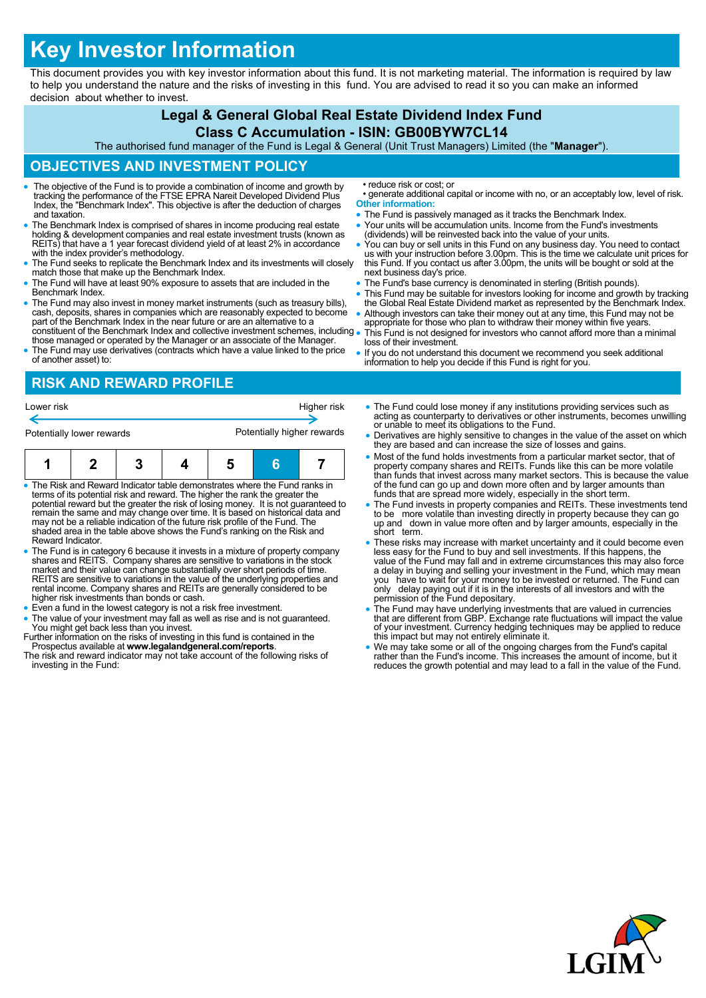# **Key Investor Information**

This document provides you with key investor information about this fund. It is not marketing material. The information is required by law to help you understand the nature and the risks of investing in this fund. You are advised to read it so you can make an informed decision about whether to invest.

#### **Legal & General Global Real Estate Dividend Index Fund**

#### **Class C Accumulation - ISIN: GB00BYW7CL14**

The authorised fund manager of the Fund is Legal & General (Unit Trust Managers) Limited (the "**Manager**").

## **OBJECTIVES AND INVESTMENT POLICY**

- The objective of the Fund is to provide a combination of income and growth by tracking the performance of the FTSE EPRA Nareit Developed Dividend Plus Index, the "Benchmark Index". This objective is after the deduction of charges and taxation.
- The Benchmark Index is comprised of shares in income producing real estate holding & development companies and real estate investment trusts (known as REITs) that have a 1 year forecast dividend yield of at least 2% in accordance with the index provider's methodology.
- The Fund seeks to replicate the Benchmark Index and its investments will closely match those that make up the Benchmark Index.
- The Fund will have at least 90% exposure to assets that are included in the Benchmark Index.
- The Fund may also invest in money market instruments (such as treasury bills), cash, deposits, shares in companies which are reasonably expected to become part of the Benchmark Index in the near future or are an alternative to a constituent of the Benchmark Index and collective investment schemes, including
- those managed or operated by the Manager or an associate of the Manager. The Fund may use derivatives (contracts which have a value linked to the price of another asset) to:

# **RISK AND REWARD PROFILE**

Lower risk **Higher risk** Higher risk **Higher risk** €

| Potentially lower rewards |  |  |  | Potentially higher rewards |  |  |  |
|---------------------------|--|--|--|----------------------------|--|--|--|
|                           |  |  |  |                            |  |  |  |

- The Risk and Reward Indicator table demonstrates where the Fund ranks in terms of its potential risk and reward. The higher the rank the greater the potential reward but the greater the risk of losing money. It is not guaranteed to<br>remain the same and may change over time. It is based on historical data and<br>may not be a reliable indication of the future risk profile of shaded area in the table above shows the Fund's ranking on the Risk and Reward Indicator.
- The Fund is in category 6 because it invests in a mixture of property company shares and REITS. Company shares are sensitive to variations in the stock<br>market and their value can change substantially over short periods of time.<br>REITS are sensitive to variations in the value of the underlying propert rental income. Company shares and REITs are generally considered to be higher risk investments than bonds or cash.
- Even a fund in the lowest category is not a risk free investment.
- The value of your investment may fall as well as rise and is not guaranteed. You might get back less than you invest.
- Further information on the risks of investing in this fund is contained in the Prospectus available at **www.legalandgeneral.com/reports**. The risk and reward indicator may not take account of the following risks of
- investing in the Fund:
- reduce risk or cost; or
- generate additional capital or income with no, or an acceptably low, level of risk. **Other information:**
- The Fund is passively managed as it tracks the Benchmark Index.
- Your units will be accumulation units. Income from the Fund's investments (dividends) will be reinvested back into the value of your units.
- You can buy or sell units in this Fund on any business day. You need to contact us with your instruction before 3.00pm. This is the time we calculate unit prices for this Fund. If you contact us after 3.00pm, the units will be bought or sold at the next business day's price.
- The Fund's base currency is denominated in sterling (British pounds).
- This Fund may be suitable for investors looking for income and growth by tracking the Global Real Estate Dividend market as represented by the Benchmark Index. Although investors can take their money out at any time, this Fund may not be
- appropriate for those who plan to withdraw their money within five years. This Fund is not designed for investors who cannot afford more than a minimal loss of their investment.
- If you do not understand this document we recommend you seek additional information to help you decide if this Fund is right for you.
- The Fund could lose money if any institutions providing services such as acting as counterparty to derivatives or other instruments, becomes unwilling or unable to meet its obligations to the Fund.
- Derivatives are highly sensitive to changes in the value of the asset on which they are based and can increase the size of losses and gains.
- Most of the fund holds investments from a particular market sector, that of property company shares and REITs. Funds like this can be more volatile than funds that invest across many market sectors. This is because the value of the fund can go up and down more often and by larger amounts than funds that are spread more widely, especially in the short term.
- The Fund invests in property companies and REITs. These investments tend to be more volatile than investing directly in property because they can go up and down in value more often and by larger amounts, especially in the short term.
- These risks may increase with market uncertainty and it could become even less easy for the Fund to buy and sell investments. If this happens, the value of the Fund may fall and in extreme circumstances this may also force a delay in buying and selling your investment in the Fund, which may mean<br>you have to wait for your money to be invested or returned. The Fund can<br>only delay paying out if it is in the interests of all investors and wi
- The Fund may have underlying investments that are valued in currencies that are different from GBP. Exchange rate fluctuations will impact the value of your investment. Currency hedging techniques may be applied to reduce this impact but may not entirely eliminate it.
- We may take some or all of the ongoing charges from the Fund's capital rather than the Fund's income. This increases the amount of income, but it reduces the growth potential and may lead to a fall in the value of the Fund.